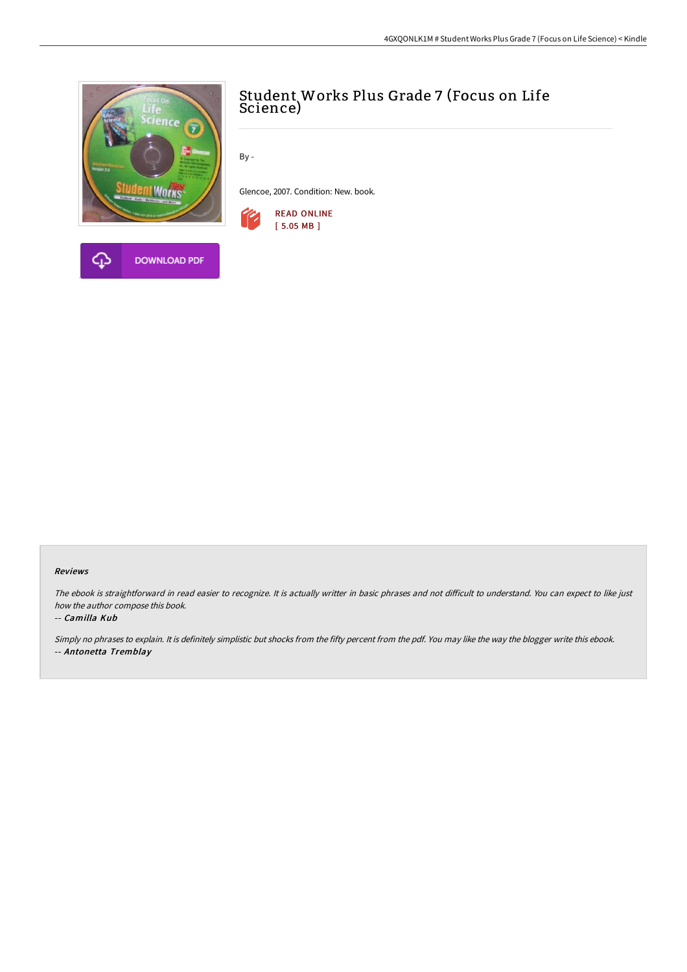

# Student Works Plus Grade 7 (Focus on Life Science)

By -

Glencoe, 2007. Condition: New. book.



#### Reviews

The ebook is straightforward in read easier to recognize. It is actually writter in basic phrases and not difficult to understand. You can expect to like just how the author compose this book.

#### -- Camilla Kub

Simply no phrases to explain. It is definitely simplistic but shocks from the fifty percent from the pdf. You may like the way the blogger write this ebook. -- Antonetta Tremblay